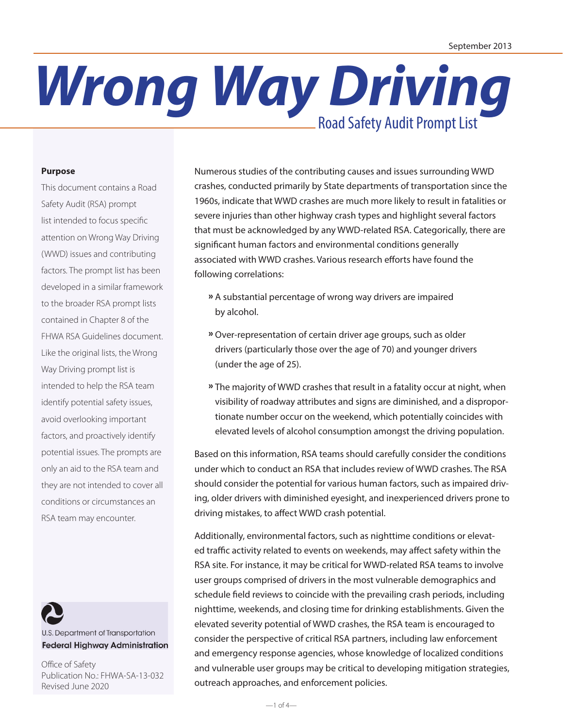# *Wrong Way Driving*

#### **Purpose**

This document contains a Road Safety Audit (RSA) prompt list intended to focus specific attention on Wrong Way Driving (WWD) issues and contributing factors. The prompt list has been developed in a similar framework to the broader RSA prompt lists contained in Chapter 8 of the FHWA RSA Guidelines document. Like the original lists, the Wrong Way Driving prompt list is intended to help the RSA team identify potential safety issues, avoid overlooking important factors, and proactively identify potential issues. The prompts are only an aid to the RSA team and they are not intended to cover all conditions or circumstances an RSA team may encounter.



U.S. Department of Transportation **Federal Highway Administration** 

Office of Safety Publication No.: FHWA-SA-13-032 Revised June 2020

Numerous studies of the contributing causes and issues surrounding WWD crashes, conducted primarily by State departments of transportation since the 1960s, indicate that WWD crashes are much more likely to result in fatalities or severe injuries than other highway crash types and highlight several factors that must be acknowledged by any WWD-related RSA. Categorically, there are significant human factors and environmental conditions generally associated with WWD crashes. Various research efforts have found the following correlations:

- » A substantial percentage of wrong way drivers are impaired by alcohol.
- » Over-representation of certain driver age groups, such as older drivers (particularly those over the age of 70) and younger drivers (under the age of 25).
- » The majority of WWD crashes that result in a fatality occur at night, when visibility of roadway attributes and signs are diminished, and a disproportionate number occur on the weekend, which potentially coincides with elevated levels of alcohol consumption amongst the driving population.

Based on this information, RSA teams should carefully consider the conditions under which to conduct an RSA that includes review of WWD crashes. The RSA should consider the potential for various human factors, such as impaired driving, older drivers with diminished eyesight, and inexperienced drivers prone to driving mistakes, to affect WWD crash potential.

Additionally, environmental factors, such as nighttime conditions or elevated traffic activity related to events on weekends, may affect safety within the RSA site. For instance, it may be critical for WWD-related RSA teams to involve user groups comprised of drivers in the most vulnerable demographics and schedule field reviews to coincide with the prevailing crash periods, including nighttime, weekends, and closing time for drinking establishments. Given the elevated severity potential of WWD crashes, the RSA team is encouraged to consider the perspective of critical RSA partners, including law enforcement and emergency response agencies, whose knowledge of localized conditions and vulnerable user groups may be critical to developing mitigation strategies, outreach approaches, and enforcement policies.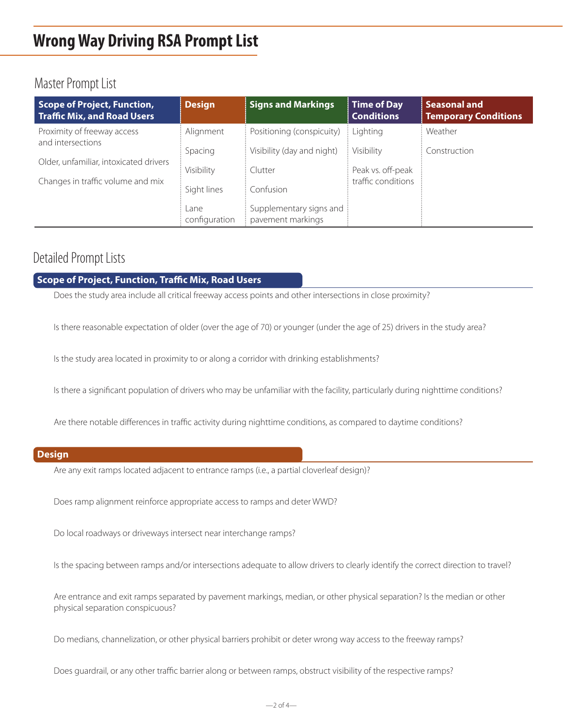# **Wrong Way Driving RSA Prompt List**

## Master Prompt List

| Scope of Project, Function,<br><b>Traffic Mix, and Road Users</b>                                | <b>Design</b>         | <b>Signs and Markings</b>                    | <b>Time of Day</b><br><b>Conditions</b> | <b>Seasonal and</b><br><b>Temporary Conditions</b> |
|--------------------------------------------------------------------------------------------------|-----------------------|----------------------------------------------|-----------------------------------------|----------------------------------------------------|
| Proximity of freeway access                                                                      | Alignment             | Positioning (conspicuity)                    | _ighting                                | Weather                                            |
| and intersections<br>Older, unfamiliar, intoxicated drivers<br>Changes in traffic volume and mix | Spacing               | Visibility (day and night)                   | Visibility                              | Construction                                       |
|                                                                                                  | Visibility            | Clutter                                      | Peak vs. off-peak<br>traffic conditions |                                                    |
|                                                                                                  | Sight lines           | Confusion                                    |                                         |                                                    |
|                                                                                                  | Lane<br>configuration | Supplementary signs and<br>pavement markings |                                         |                                                    |

## Detailed Prompt Lists

## **Scope of Project, Function, Traffic Mix, Road Users**

Does the study area include all critical freeway access points and other intersections in close proximity?

Is there reasonable expectation of older (over the age of 70) or younger (under the age of 25) drivers in the study area?

Is the study area located in proximity to or along a corridor with drinking establishments?

Is there a significant population of drivers who may be unfamiliar with the facility, particularly during nighttime conditions?

Are there notable differences in traffic activity during nighttime conditions, as compared to daytime conditions?

## **Design**

Are any exit ramps located adjacent to entrance ramps (i.e., a partial cloverleaf design)?

Does ramp alignment reinforce appropriate access to ramps and deter WWD?

Do local roadways or driveways intersect near interchange ramps?

Is the spacing between ramps and/or intersections adequate to allow drivers to clearly identify the correct direction to travel?

Are entrance and exit ramps separated by pavement markings, median, or other physical separation? Is the median or other physical separation conspicuous?

Do medians, channelization, or other physical barriers prohibit or deter wrong way access to the freeway ramps?

Does guardrail, or any other traffic barrier along or between ramps, obstruct visibility of the respective ramps?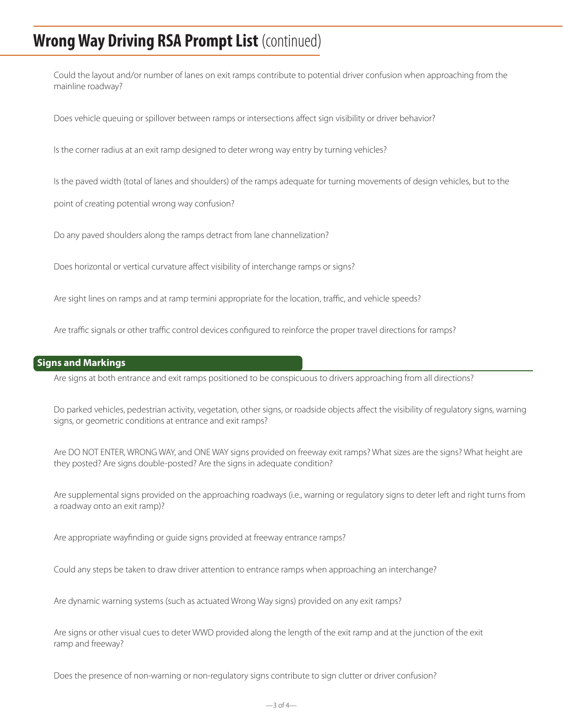## **Wrong Way Driving RSA Prompt List** (continued)

Could the layout and/or number of lanes on exit ramps contribute to potential driver confusion when approaching from the mainline roadway?

Does vehicle queuing or spillover between ramps or intersections affect sign visibility or driver behavior?

Is the corner radius at an exit ramp designed to deter wrong way entry by turning vehicles?

Is the paved width (total of lanes and shoulders) of the ramps adequate for turning movements of design vehicles, but to the

point of creating potential wrong way confusion?

Do any paved shoulders along the ramps detract from lane channelization?

Does horizontal or vertical curvature affect visibility of interchange ramps or signs?

Are sight lines on ramps and at ramp termini appropriate for the location, traffic, and vehicle speeds?

Are traffic signals or other traffic control devices configured to reinforce the proper travel directions for ramps?

#### **Signs and Markings**

Are signs at both entrance and exit ramps positioned to be conspicuous to drivers approaching from all directions?

Do parked vehicles, pedestrian activity, vegetation, other signs, or roadside objects affect the visibility of regulatory signs, warning signs, or geometric conditions at entrance and exit ramps?

Are DO NOT ENTER, WRONG WAY, and ONE WAY signs provided on freeway exit ramps? What sizes are the signs? What height are they posted? Are signs double-posted? Are the signs in adequate condition?

Are supplemental signs provided on the approaching roadways (i.e., warning or regulatory signs to deter left and right turns from a roadway onto an exit ramp)?

Are appropriate wayfinding or guide signs provided at freeway entrance ramps?

Could any steps be taken to draw driver attention to entrance ramps when approaching an interchange?

Are dynamic warning systems (such as actuated Wrong Way signs) provided on any exit ramps?

Are signs or other visual cues to deter WWD provided along the length of the exit ramp and at the junction of the exit ramp and freeway?

Does the presence of non-warning or non-regulatory signs contribute to sign clutter or driver confusion?